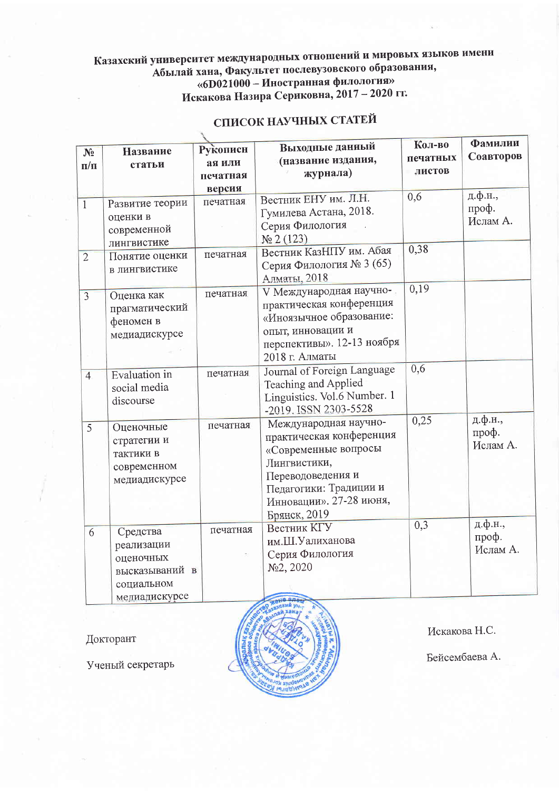## Казахский университет международных отношений и мировых языков имени липосрентет иследительное статические и исторические по-<br>Абылай хана, Факультет послевузовского образования,<br>«6D021000 - Иностранная филология» Искакова Назира Сериковна, 2017 - 2020 гг.

| N <sub>2</sub>          | Название                                                                             | Рукописн           | Выходные данный                                                                                                                                                                     | Кол-во             | Фамилии                      |
|-------------------------|--------------------------------------------------------------------------------------|--------------------|-------------------------------------------------------------------------------------------------------------------------------------------------------------------------------------|--------------------|------------------------------|
| $\mathbf{n}/\mathbf{n}$ | статьи                                                                               | ая или             | (название издания,<br>журнала)                                                                                                                                                      | печатных<br>листов | Соавторов                    |
|                         |                                                                                      | печатная           |                                                                                                                                                                                     |                    |                              |
| $\overline{1}$          | Развитие теории<br>оценки в<br>современной<br>лингвистике                            | версия<br>печатная | Вестник ЕНУ им. Л.Н.<br>Гумилева Астана, 2018.<br>Серия Филология<br>Ne 2(123)                                                                                                      | 0,6                | д.ф.н.,<br>проф.<br>Ислам А. |
| $\overline{2}$          | Понятие оценки<br>в лингвистике                                                      | печатная           | Вестник КазНПУ им. Абая<br>Серия Филология № 3 (65)<br>Алматы, 2018                                                                                                                 | 0,38               |                              |
| $\overline{3}$          | Оценка как<br>прагматический<br>феномен в<br>медиадискурсе                           | печатная           | V Международная научно-<br>практическая конференция<br>«Иноязычное образование:<br>опыт, инновации и<br>перспективы». 12-13 ноября<br>2018 г. Алматы                                | 0,19               |                              |
| $\overline{4}$          | Evaluation in<br>social media<br>discourse                                           | печатная           | Journal of Foreign Language<br>Teaching and Applied<br>Linguistics. Vol.6 Number. 1<br>-2019. ISSN 2303-5528                                                                        | 0,6                |                              |
| 5                       | Оценочные<br>стратегии и<br>тактики в<br>современном<br>медиадискурсе                | печатная           | Международная научно-<br>практическая конференция<br>«Современные вопросы<br>Лингвистики,<br>Переводоведения и<br>Педагогики: Традиции и<br>Инновации». 27-28 июня,<br>Брянск, 2019 | 0,25               | д.ф.н.,<br>проф.<br>Ислам А. |
| 6                       | Средства<br>реализации<br>оценочных<br>высказываний в<br>социальном<br>медиадискурсе | печатная           | <b>Вестник КГУ</b><br>им.Ш.Уалиханова<br>Серия Филология<br>No2, 2020<br>a ane                                                                                                      | 0,3                | д.ф.н.,<br>проф.<br>Ислам А. |

## СПИСОК НАУЧНЫХ СТАТЕЙ

Докторант

Ученый секретарь



Искакова Н.С.

Бейсембаева А.